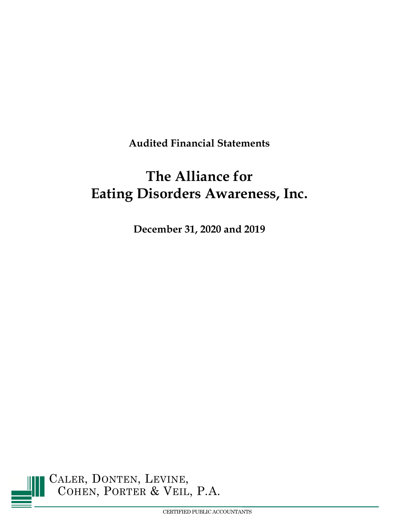**Audited Financial Statements**

# **The Alliance for Eating Disorders Awareness, Inc.**

**December 31, 2020 and 2019**

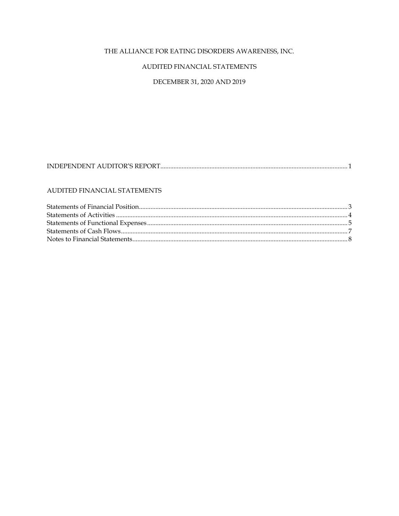# AUDITED FINANCIAL STATEMENTS

# DECEMBER 31, 2020 AND 2019

# 

# AUDITED FINANCIAL STATEMENTS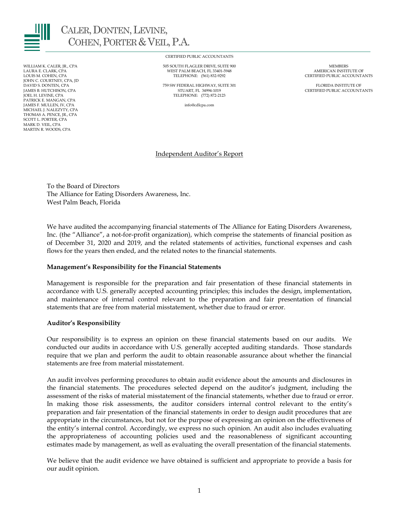

CALER, DONTEN, LEVINE, COHEN, PORTER & VEIL, P.A.

JOHN C. COURTNEY, CPA, JD<br>DAVID S. DONTEN, CPA PATRICK E. MANGAN, CPA JAMES F. MULLEN, IV, CPA info@cdlcpa.com MICHAEL J. NALEZYTY, CPA THOMAS A. PENCE, JR., CPA SCOTT L. PORTER, CPA MARK D. VEIL, CPA MARTIN R. WOODS, CPA

CERTIFIED PUBLIC ACCOUNTANTS

WILLIAM K. CALER, JR., CPA 505 SOUTH FLAGLER DRIVE, SUITE 900 MEMBERS LAURA E. CLARK, CPA WEST PALM BEACH, FL 33401-5948 AMERICAN INSTITUTE OF TELEPHONE: (561) 832-9292

DAVID S. DONTEN, CPA AND THE SUITE OF THE SERVE OF THE SUITE SOLUTION OF THE SUITE ACCOUNT AND THE SUITE OF TH<br>THE STUART, FL 34994-1019 FLORIDA CERTIFIED PUBLIC ACCOUNT JAMES B. HUTCHISON, CPA STUART, FL 34994-1019 CERTIFIED PUBLIC ACCOUNTANTS TELEPHONE: (772) 872-2123

# Independent Auditor's Report

To the Board of Directors The Alliance for Eating Disorders Awareness, Inc. West Palm Beach, Florida

We have audited the accompanying financial statements of The Alliance for Eating Disorders Awareness, Inc. (the "Alliance", a not-for-profit organization), which comprise the statements of financial position as of December 31, 2020 and 2019, and the related statements of activities, functional expenses and cash flows for the years then ended, and the related notes to the financial statements.

## **Management's Responsibility for the Financial Statements**

Management is responsible for the preparation and fair presentation of these financial statements in accordance with U.S. generally accepted accounting principles; this includes the design, implementation, and maintenance of internal control relevant to the preparation and fair presentation of financial statements that are free from material misstatement, whether due to fraud or error.

## **Auditor's Responsibility**

Our responsibility is to express an opinion on these financial statements based on our audits. We conducted our audits in accordance with U.S. generally accepted auditing standards. Those standards require that we plan and perform the audit to obtain reasonable assurance about whether the financial statements are free from material misstatement.

An audit involves performing procedures to obtain audit evidence about the amounts and disclosures in the financial statements. The procedures selected depend on the auditor's judgment, including the assessment of the risks of material misstatement of the financial statements, whether due to fraud or error. In making those risk assessments, the auditor considers internal control relevant to the entity's preparation and fair presentation of the financial statements in order to design audit procedures that are appropriate in the circumstances, but not for the purpose of expressing an opinion on the effectiveness of the entity's internal control. Accordingly, we express no such opinion. An audit also includes evaluating the appropriateness of accounting policies used and the reasonableness of significant accounting estimates made by management, as well as evaluating the overall presentation of the financial statements.

We believe that the audit evidence we have obtained is sufficient and appropriate to provide a basis for our audit opinion.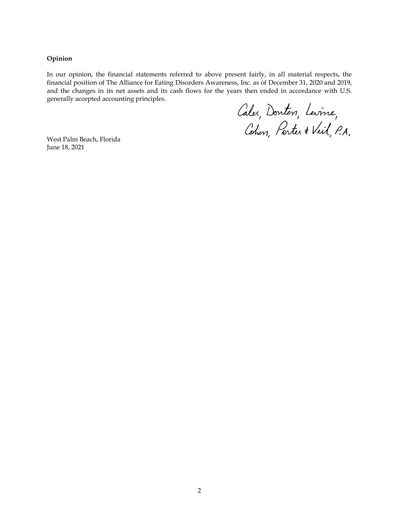**Opinion**

In our opinion, the financial statements referred to above present fairly, in all material respects, the financial position of The Alliance for Eating Disorders Awareness, Inc. as of December 31, 2020 and 2019, and the changes in its net assets and its cash flows for the years then ended in accordance with U.S. generally accepted accounting principles.

Caler, Donten, Levine,<br>Cohen, Parter & Veil, P.A.

West Palm Beach, Florida June 18, 2021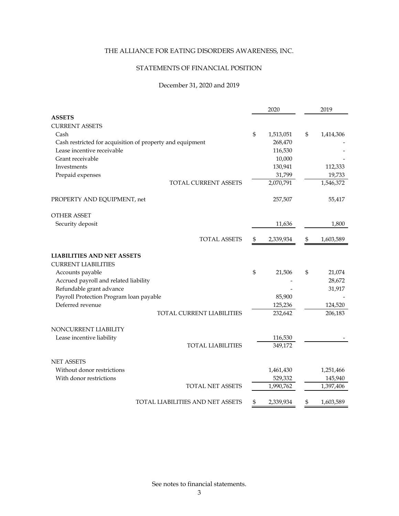# STATEMENTS OF FINANCIAL POSITION

# December 31, 2020 and 2019

|                                                           |                | 2020      | 2019            |
|-----------------------------------------------------------|----------------|-----------|-----------------|
| <b>ASSETS</b>                                             |                |           |                 |
| <b>CURRENT ASSETS</b>                                     |                |           |                 |
| Cash                                                      | \$             | 1,513,051 | \$<br>1,414,306 |
| Cash restricted for acquisition of property and equipment |                | 268,470   |                 |
| Lease incentive receivable                                |                | 116,530   |                 |
| Grant receivable                                          |                | 10,000    |                 |
| Investments                                               |                | 130,941   | 112,333         |
| Prepaid expenses                                          |                | 31,799    | 19,733          |
| TOTAL CURRENT ASSETS                                      |                | 2,070,791 | 1,546,372       |
| PROPERTY AND EQUIPMENT, net                               |                | 257,507   | 55,417          |
| <b>OTHER ASSET</b>                                        |                |           |                 |
| Security deposit                                          |                | 11,636    | 1,800           |
| <b>TOTAL ASSETS</b>                                       | \$             | 2,339,934 | \$<br>1,603,589 |
| <b>LIABILITIES AND NET ASSETS</b>                         |                |           |                 |
| <b>CURRENT LIABILITIES</b>                                |                |           |                 |
| Accounts payable                                          | $\mathfrak{S}$ | 21,506    | \$<br>21,074    |
| Accrued payroll and related liability                     |                |           | 28,672          |
| Refundable grant advance                                  |                |           | 31,917          |
| Payroll Protection Program loan payable                   |                | 85,900    |                 |
| Deferred revenue                                          |                | 125,236   | 124,520         |
| TOTAL CURRENT LIABILITIES                                 |                | 232,642   | 206,183         |
| NONCURRENT LIABILITY                                      |                |           |                 |
| Lease incentive liability                                 |                | 116,530   |                 |
| <b>TOTAL LIABILITIES</b>                                  |                | 349,172   |                 |
| <b>NET ASSETS</b>                                         |                |           |                 |
| Without donor restrictions                                |                | 1,461,430 | 1,251,466       |
| With donor restrictions                                   |                | 529,332   | 145,940         |
| <b>TOTAL NET ASSETS</b>                                   |                | 1,990,762 | 1,397,406       |
| TOTAL LIABILITIES AND NET ASSETS                          | \$             | 2,339,934 | \$<br>1,603,589 |

See notes to financial statements.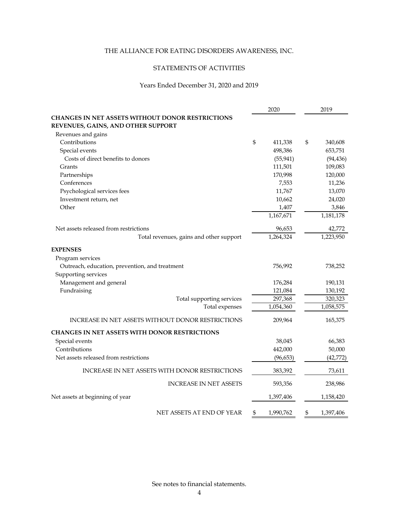# STATEMENTS OF ACTIVITIES

# Years Ended December 31, 2020 and 2019

|                                                                                               | 2020            | 2019            |
|-----------------------------------------------------------------------------------------------|-----------------|-----------------|
| <b>CHANGES IN NET ASSETS WITHOUT DONOR RESTRICTIONS</b><br>REVENUES, GAINS, AND OTHER SUPPORT |                 |                 |
| Revenues and gains                                                                            |                 |                 |
| Contributions                                                                                 | \$<br>411,338   | \$<br>340,608   |
| Special events                                                                                | 498,386         | 653,751         |
| Costs of direct benefits to donors                                                            | (55, 941)       | (94, 436)       |
| Grants                                                                                        | 111,501         | 109,083         |
| Partnerships                                                                                  | 170,998         | 120,000         |
| Conferences                                                                                   | 7,553           | 11,236          |
| Psychological services fees                                                                   | 11,767          | 13,070          |
| Investment return, net                                                                        | 10,662          | 24,020          |
| Other                                                                                         | 1,407           | 3,846           |
|                                                                                               | 1,167,671       | 1,181,178       |
| Net assets released from restrictions                                                         | 96,653          | 42,772          |
| Total revenues, gains and other support                                                       | 1,264,324       | 1,223,950       |
| <b>EXPENSES</b>                                                                               |                 |                 |
| Program services                                                                              |                 |                 |
| Outreach, education, prevention, and treatment                                                | 756,992         | 738,252         |
| Supporting services                                                                           |                 |                 |
| Management and general                                                                        | 176,284         | 190,131         |
| Fundraising                                                                                   | 121,084         | 130,192         |
| Total supporting services                                                                     | 297,368         | 320,323         |
| Total expenses                                                                                | 1,054,360       | 1,058,575       |
| <b>INCREASE IN NET ASSETS WITHOUT DONOR RESTRICTIONS</b>                                      | 209,964         | 165,375         |
| CHANGES IN NET ASSETS WITH DONOR RESTRICTIONS                                                 |                 |                 |
| Special events                                                                                | 38,045          | 66,383          |
| Contributions                                                                                 | 442,000         | 50,000          |
| Net assets released from restrictions                                                         | (96, 653)       | (42, 772)       |
| INCREASE IN NET ASSETS WITH DONOR RESTRICTIONS                                                | 383,392         | 73,611          |
| <b>INCREASE IN NET ASSETS</b>                                                                 | 593,356         | 238,986         |
| Net assets at beginning of year                                                               | 1,397,406       | 1,158,420       |
| NET ASSETS AT END OF YEAR                                                                     | \$<br>1,990,762 | \$<br>1,397,406 |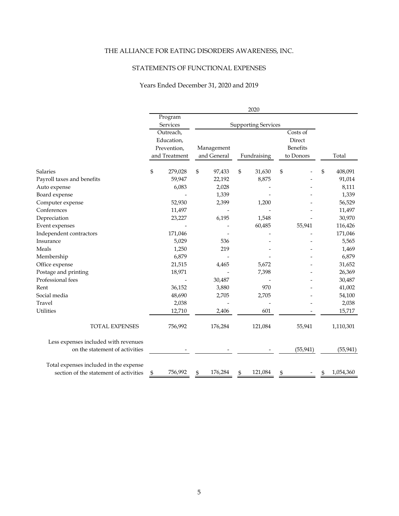# STATEMENTS OF FUNCTIONAL EXPENSES

# Years Ended December 31, 2020 and 2019

|                                        | 2020 |               |    |                            |    |             |    |           |    |           |
|----------------------------------------|------|---------------|----|----------------------------|----|-------------|----|-----------|----|-----------|
|                                        |      | Program       |    |                            |    |             |    |           |    |           |
|                                        |      | Services      |    | <b>Supporting Services</b> |    |             |    |           |    |           |
|                                        |      | Outreach,     |    |                            |    |             |    | Costs of  |    |           |
|                                        |      | Education,    |    |                            |    |             |    | Direct    |    |           |
|                                        |      | Prevention,   |    | Management                 |    |             |    | Benefits  |    |           |
|                                        |      | and Treatment |    | and General                |    | Fundraising |    | to Donors |    | Total     |
| <b>Salaries</b>                        | \$   | 279,028       | \$ | 97,433                     | \$ | 31,630      | \$ |           | \$ | 408,091   |
| Payroll taxes and benefits             |      | 59,947        |    | 22,192                     |    | 8,875       |    |           |    | 91,014    |
| Auto expense                           |      | 6,083         |    | 2,028                      |    |             |    |           |    | 8,111     |
| Board expense                          |      |               |    | 1,339                      |    |             |    |           |    | 1,339     |
| Computer expense                       |      | 52,930        |    | 2,399                      |    | 1,200       |    |           |    | 56,529    |
| Conferences                            |      | 11,497        |    |                            |    |             |    |           |    | 11,497    |
| Depreciation                           |      | 23,227        |    | 6,195                      |    | 1,548       |    |           |    | 30,970    |
| Event expenses                         |      |               |    |                            |    | 60,485      |    | 55,941    |    | 116,426   |
| Independent contractors                |      | 171,046       |    |                            |    |             |    |           |    | 171,046   |
| Insurance                              |      | 5,029         |    | 536                        |    |             |    |           |    | 5,565     |
| Meals                                  |      | 1,250         |    | 219                        |    |             |    |           |    | 1,469     |
| Membership                             |      | 6,879         |    |                            |    |             |    |           |    | 6,879     |
| Office expense                         |      | 21,515        |    | 4,465                      |    | 5,672       |    |           |    | 31,652    |
| Postage and printing                   |      | 18,971        |    |                            |    | 7,398       |    |           |    | 26,369    |
| Professional fees                      |      |               |    | 30,487                     |    |             |    |           |    | 30,487    |
| Rent                                   |      | 36,152        |    | 3,880                      |    | 970         |    |           |    | 41,002    |
| Social media                           |      | 48,690        |    | 2,705                      |    | 2,705       |    |           |    | 54,100    |
| Travel                                 |      | 2,038         |    |                            |    |             |    |           |    | 2,038     |
| <b>Utilities</b>                       |      | 12,710        |    | 2,406                      |    | 601         |    |           |    | 15,717    |
| <b>TOTAL EXPENSES</b>                  |      | 756,992       |    | 176,284                    |    | 121,084     |    | 55,941    |    | 1,110,301 |
| Less expenses included with revenues   |      |               |    |                            |    |             |    |           |    |           |
| on the statement of activities         |      |               |    |                            |    |             |    | (55, 941) |    | (55, 941) |
| Total expenses included in the expense |      |               |    |                            |    |             |    |           |    |           |
| section of the statement of activities | \$   | 756,992       |    | 176,284                    |    | 121,084     | \$ |           | \$ | 1,054,360 |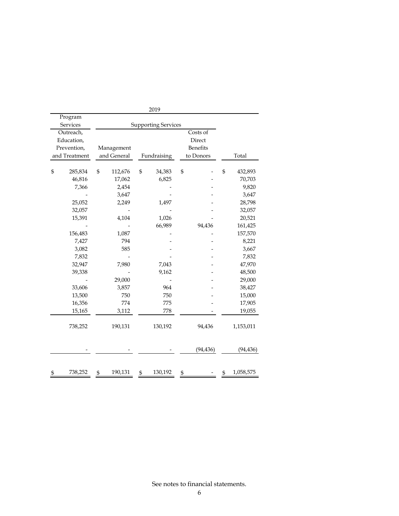|                 |         |                            | 2019          |                 |                 |
|-----------------|---------|----------------------------|---------------|-----------------|-----------------|
| Program         |         |                            |               |                 |                 |
| <b>Services</b> |         | <b>Supporting Services</b> |               |                 |                 |
| Outreach,       |         |                            |               | Costs of        |                 |
| Education,      |         |                            |               | Direct          |                 |
| Prevention,     |         | Management                 |               | <b>Benefits</b> |                 |
| and Treatment   |         | and General                | Fundraising   | to Donors       | Total           |
| \$              | 285,834 | \$<br>112,676              | \$<br>34,383  | \$              | \$<br>432,893   |
|                 | 46,816  | 17,062                     | 6,825         |                 | 70,703          |
|                 | 7,366   | 2,454                      |               |                 | 9,820           |
|                 |         | 3,647                      |               |                 | 3,647           |
|                 | 25,052  | 2,249                      | 1,497         |                 | 28,798          |
|                 | 32,057  |                            |               |                 | 32,057          |
|                 | 15,391  | 4,104                      | 1,026         |                 | 20,521          |
|                 |         |                            | 66,989        | 94,436          | 161,425         |
|                 | 156,483 | 1,087                      |               |                 | 157,570         |
|                 | 7,427   | 794                        |               |                 | 8,221           |
|                 | 3,082   | 585                        |               |                 | 3,667           |
|                 | 7,832   |                            |               |                 | 7,832           |
|                 | 32,947  | 7,980                      | 7,043         |                 | 47,970          |
|                 | 39,338  |                            | 9,162         |                 | 48,500          |
|                 |         | 29,000                     |               |                 | 29,000          |
|                 | 33,606  | 3,857                      | 964           |                 | 38,427          |
|                 | 13,500  | 750                        | 750           |                 | 15,000          |
|                 | 16,356  | 774                        | 775           |                 | 17,905          |
|                 | 15,165  | 3,112                      | 778           |                 | 19,055          |
|                 | 738,252 | 190,131                    | 130,192       | 94,436          | 1,153,011       |
|                 |         |                            |               | (94, 436)       | (94, 436)       |
| 5               | 738,252 | \$<br>190,131              | \$<br>130,192 | \$              | \$<br>1,058,575 |

See notes to financial statements.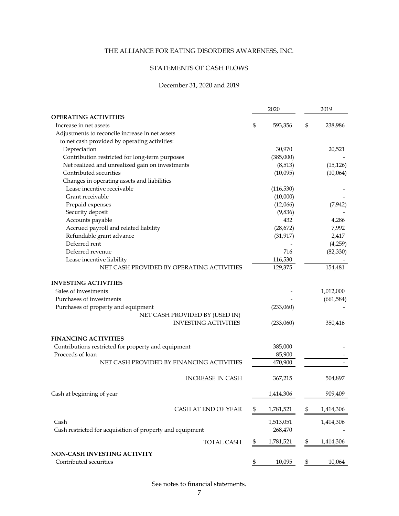# STATEMENTS OF CASH FLOWS

# December 31, 2020 and 2019

|                                                           | 2020 |            |              | 2019       |  |
|-----------------------------------------------------------|------|------------|--------------|------------|--|
| <b>OPERATING ACTIVITIES</b>                               |      |            |              |            |  |
| Increase in net assets                                    | \$   | 593,356    | \$           | 238,986    |  |
| Adjustments to reconcile increase in net assets           |      |            |              |            |  |
| to net cash provided by operating activities:             |      |            |              |            |  |
| Depreciation                                              |      | 30,970     |              | 20,521     |  |
| Contribution restricted for long-term purposes            |      | (385,000)  |              |            |  |
| Net realized and unrealized gain on investments           |      | (8,513)    |              | (15, 126)  |  |
| Contributed securities                                    |      | (10,095)   |              | (10,064)   |  |
| Changes in operating assets and liabilities               |      |            |              |            |  |
| Lease incentive receivable                                |      | (116, 530) |              |            |  |
| Grant receivable                                          |      | (10,000)   |              |            |  |
| Prepaid expenses                                          |      | (12,066)   |              | (7, 942)   |  |
| Security deposit                                          |      | (9,836)    |              |            |  |
| Accounts payable                                          |      | 432        |              | 4,286      |  |
| Accrued payroll and related liability                     |      | (28, 672)  |              | 7,992      |  |
| Refundable grant advance                                  |      | (31, 917)  |              | 2,417      |  |
| Deferred rent                                             |      |            |              | (4,259)    |  |
| Deferred revenue                                          |      | 716        |              | (82, 330)  |  |
| Lease incentive liability                                 |      | 116,530    |              |            |  |
| NET CASH PROVIDED BY OPERATING ACTIVITIES                 |      | 129,375    |              | 154,481    |  |
| <b>INVESTING ACTIVITIES</b>                               |      |            |              |            |  |
| Sales of investments                                      |      |            |              | 1,012,000  |  |
| Purchases of investments                                  |      |            |              | (661, 584) |  |
| Purchases of property and equipment                       |      | (233,060)  |              |            |  |
| NET CASH PROVIDED BY (USED IN)                            |      |            |              |            |  |
| <b>INVESTING ACTIVITIES</b>                               |      | (233,060)  |              | 350,416    |  |
| <b>FINANCING ACTIVITIES</b>                               |      |            |              |            |  |
| Contributions restricted for property and equipment       |      | 385,000    |              |            |  |
| Proceeds of loan                                          |      | 85,900     |              |            |  |
| NET CASH PROVIDED BY FINANCING ACTIVITIES                 |      | 470,900    |              |            |  |
| <b>INCREASE IN CASH</b>                                   |      | 367,215    |              | 504,897    |  |
| Cash at beginning of year                                 |      | 1,414,306  |              | 909,409    |  |
| CASH AT END OF YEAR                                       | \$   | 1,781,521  | \$           | 1,414,306  |  |
|                                                           |      |            |              |            |  |
| Cash                                                      |      | 1,513,051  |              | 1,414,306  |  |
| Cash restricted for acquisition of property and equipment |      | 268,470    |              |            |  |
| TOTAL CASH                                                | \$   | 1,781,521  | $\mathbb{S}$ | 1,414,306  |  |
|                                                           |      |            |              |            |  |
| NON-CASH INVESTING ACTIVITY<br>Contributed securities     | \$   | 10,095     | \$           | 10,064     |  |

See notes to financial statements.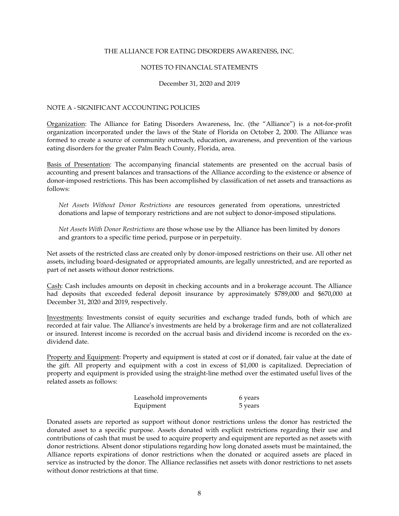#### NOTES TO FINANCIAL STATEMENTS

#### December 31, 2020 and 2019

## NOTE A - SIGNIFICANT ACCOUNTING POLICIES

Organization: The Alliance for Eating Disorders Awareness, Inc. (the "Alliance") is a not-for-profit organization incorporated under the laws of the State of Florida on October 2, 2000. The Alliance was formed to create a source of community outreach, education, awareness, and prevention of the various eating disorders for the greater Palm Beach County, Florida, area.

Basis of Presentation: The accompanying financial statements are presented on the accrual basis of accounting and present balances and transactions of the Alliance according to the existence or absence of donor-imposed restrictions. This has been accomplished by classification of net assets and transactions as follows:

*Net Assets Without Donor Restrictions* are resources generated from operations, unrestricted donations and lapse of temporary restrictions and are not subject to donor-imposed stipulations.

*Net Assets With Donor Restrictions* are those whose use by the Alliance has been limited by donors and grantors to a specific time period, purpose or in perpetuity.

Net assets of the restricted class are created only by donor-imposed restrictions on their use. All other net assets, including board-designated or appropriated amounts, are legally unrestricted, and are reported as part of net assets without donor restrictions.

Cash: Cash includes amounts on deposit in checking accounts and in a brokerage account. The Alliance had deposits that exceeded federal deposit insurance by approximately \$789,000 and \$670,000 at December 31, 2020 and 2019, respectively.

Investments: Investments consist of equity securities and exchange traded funds, both of which are recorded at fair value. The Alliance's investments are held by a brokerage firm and are not collateralized or insured. Interest income is recorded on the accrual basis and dividend income is recorded on the exdividend date.

Property and Equipment: Property and equipment is stated at cost or if donated, fair value at the date of the gift. All property and equipment with a cost in excess of \$1,000 is capitalized. Depreciation of property and equipment is provided using the straight-line method over the estimated useful lives of the related assets as follows:

| Leasehold improvements | 6 years |
|------------------------|---------|
| Equipment              | 5 years |

Donated assets are reported as support without donor restrictions unless the donor has restricted the donated asset to a specific purpose. Assets donated with explicit restrictions regarding their use and contributions of cash that must be used to acquire property and equipment are reported as net assets with donor restrictions. Absent donor stipulations regarding how long donated assets must be maintained, the Alliance reports expirations of donor restrictions when the donated or acquired assets are placed in service as instructed by the donor. The Alliance reclassifies net assets with donor restrictions to net assets without donor restrictions at that time.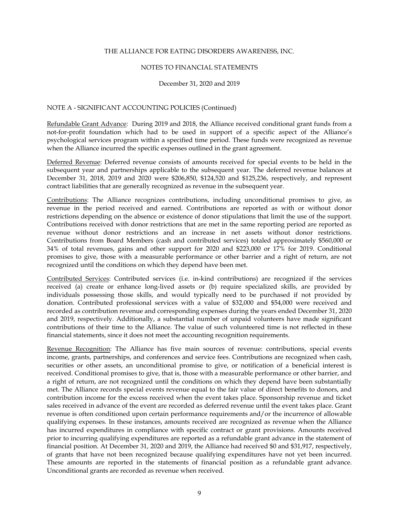#### NOTES TO FINANCIAL STATEMENTS

#### December 31, 2020 and 2019

## NOTE A - SIGNIFICANT ACCOUNTING POLICIES (Continued)

Refundable Grant Advance: During 2019 and 2018, the Alliance received conditional grant funds from a not-for-profit foundation which had to be used in support of a specific aspect of the Alliance's psychological services program within a specified time period. These funds were recognized as revenue when the Alliance incurred the specific expenses outlined in the grant agreement.

Deferred Revenue: Deferred revenue consists of amounts received for special events to be held in the subsequent year and partnerships applicable to the subsequent year. The deferred revenue balances at December 31, 2018, 2019 and 2020 were \$206,850, \$124,520 and \$125,236, respectively, and represent contract liabilities that are generally recognized as revenue in the subsequent year.

Contributions: The Alliance recognizes contributions, including unconditional promises to give, as revenue in the period received and earned. Contributions are reported as with or without donor restrictions depending on the absence or existence of donor stipulations that limit the use of the support. Contributions received with donor restrictions that are met in the same reporting period are reported as revenue without donor restrictions and an increase in net assets without donor restrictions. Contributions from Board Members (cash and contributed services) totaled approximately \$560,000 or 34% of total revenues, gains and other support for 2020 and \$223,000 or 17% for 2019. Conditional promises to give, those with a measurable performance or other barrier and a right of return, are not recognized until the conditions on which they depend have been met.

Contributed Services: Contributed services (i.e. in-kind contributions) are recognized if the services received (a) create or enhance long-lived assets or (b) require specialized skills, are provided by individuals possessing those skills, and would typically need to be purchased if not provided by donation. Contributed professional services with a value of \$32,000 and \$54,000 were received and recorded as contribution revenue and corresponding expenses during the years ended December 31, 2020 and 2019, respectively. Additionally, a substantial number of unpaid volunteers have made significant contributions of their time to the Alliance. The value of such volunteered time is not reflected in these financial statements, since it does not meet the accounting recognition requirements.

Revenue Recognition: The Alliance has five main sources of revenue: contributions, special events income, grants, partnerships, and conferences and service fees. Contributions are recognized when cash, securities or other assets, an unconditional promise to give, or notification of a beneficial interest is received. Conditional promises to give, that is, those with a measurable performance or other barrier, and a right of return, are not recognized until the conditions on which they depend have been substantially met. The Alliance records special events revenue equal to the fair value of direct benefits to donors, and contribution income for the excess received when the event takes place. Sponsorship revenue and ticket sales received in advance of the event are recorded as deferred revenue until the event takes place. Grant revenue is often conditioned upon certain performance requirements and/or the incurrence of allowable qualifying expenses. In these instances, amounts received are recognized as revenue when the Alliance has incurred expenditures in compliance with specific contract or grant provisions. Amounts received prior to incurring qualifying expenditures are reported as a refundable grant advance in the statement of financial position. At December 31, 2020 and 2019, the Alliance had received \$0 and \$31,917, respectively, of grants that have not been recognized because qualifying expenditures have not yet been incurred. These amounts are reported in the statements of financial position as a refundable grant advance. Unconditional grants are recorded as revenue when received.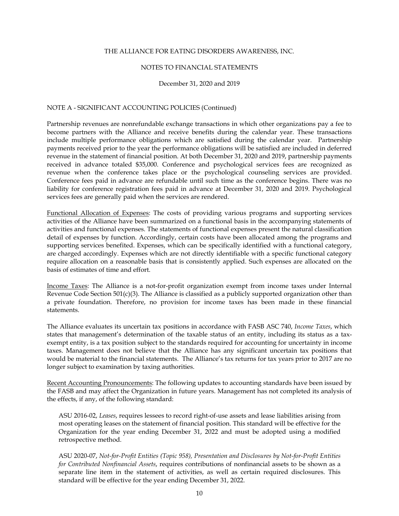#### NOTES TO FINANCIAL STATEMENTS

December 31, 2020 and 2019

## NOTE A - SIGNIFICANT ACCOUNTING POLICIES (Continued)

Partnership revenues are nonrefundable exchange transactions in which other organizations pay a fee to become partners with the Alliance and receive benefits during the calendar year. These transactions include multiple performance obligations which are satisfied during the calendar year. Partnership payments received prior to the year the performance obligations will be satisfied are included in deferred revenue in the statement of financial position. At both December 31, 2020 and 2019, partnership payments received in advance totaled \$35,000. Conference and psychological services fees are recognized as revenue when the conference takes place or the psychological counseling services are provided. Conference fees paid in advance are refundable until such time as the conference begins. There was no liability for conference registration fees paid in advance at December 31, 2020 and 2019. Psychological services fees are generally paid when the services are rendered.

Functional Allocation of Expenses: The costs of providing various programs and supporting services activities of the Alliance have been summarized on a functional basis in the accompanying statements of activities and functional expenses. The statements of functional expenses present the natural classification detail of expenses by function. Accordingly, certain costs have been allocated among the programs and supporting services benefited. Expenses, which can be specifically identified with a functional category, are charged accordingly. Expenses which are not directly identifiable with a specific functional category require allocation on a reasonable basis that is consistently applied. Such expenses are allocated on the basis of estimates of time and effort.

Income Taxes: The Alliance is a not-for-profit organization exempt from income taxes under Internal Revenue Code Section 501(c)(3). The Alliance is classified as a publicly supported organization other than a private foundation. Therefore, no provision for income taxes has been made in these financial statements.

The Alliance evaluates its uncertain tax positions in accordance with FASB ASC 740, *Income Taxes*, which states that management's determination of the taxable status of an entity, including its status as a taxexempt entity, is a tax position subject to the standards required for accounting for uncertainty in income taxes. Management does not believe that the Alliance has any significant uncertain tax positions that would be material to the financial statements. The Alliance's tax returns for tax years prior to 2017 are no longer subject to examination by taxing authorities.

Recent Accounting Pronouncements: The following updates to accounting standards have been issued by the FASB and may affect the Organization in future years. Management has not completed its analysis of the effects, if any, of the following standard:

ASU 2016-02, *Leases*, requires lessees to record right-of-use assets and lease liabilities arising from most operating leases on the statement of financial position. This standard will be effective for the Organization for the year ending December 31, 2022 and must be adopted using a modified retrospective method.

ASU 2020-07, *Not-for-Profit Entities (Topic 958), Presentation and Disclosures by Not-for-Profit Entities for Contributed Nonfinancial Assets*, requires contributions of nonfinancial assets to be shown as a separate line item in the statement of activities, as well as certain required disclosures. This standard will be effective for the year ending December 31, 2022.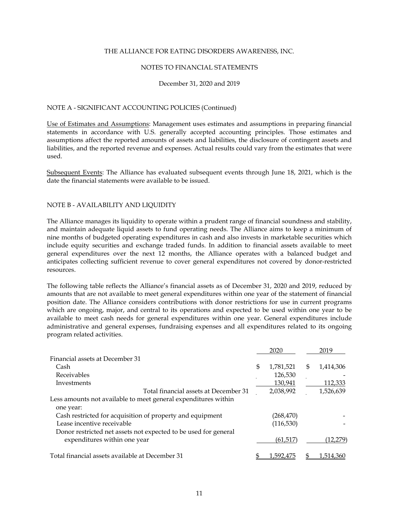#### NOTES TO FINANCIAL STATEMENTS

#### December 31, 2020 and 2019

## NOTE A - SIGNIFICANT ACCOUNTING POLICIES (Continued)

Use of Estimates and Assumptions: Management uses estimates and assumptions in preparing financial statements in accordance with U.S. generally accepted accounting principles. Those estimates and assumptions affect the reported amounts of assets and liabilities, the disclosure of contingent assets and liabilities, and the reported revenue and expenses. Actual results could vary from the estimates that were used.

Subsequent Events: The Alliance has evaluated subsequent events through June 18, 2021, which is the date the financial statements were available to be issued.

## NOTE B - AVAILABILITY AND LIQUIDITY

The Alliance manages its liquidity to operate within a prudent range of financial soundness and stability, and maintain adequate liquid assets to fund operating needs. The Alliance aims to keep a minimum of nine months of budgeted operating expenditures in cash and also invests in marketable securities which include equity securities and exchange traded funds. In addition to financial assets available to meet general expenditures over the next 12 months, the Alliance operates with a balanced budget and anticipates collecting sufficient revenue to cover general expenditures not covered by donor-restricted resources.

The following table reflects the Alliance's financial assets as of December 31, 2020 and 2019, reduced by amounts that are not available to meet general expenditures within one year of the statement of financial position date. The Alliance considers contributions with donor restrictions for use in current programs which are ongoing, major, and central to its operations and expected to be used within one year to be available to meet cash needs for general expenditures within one year. General expenditures include administrative and general expenses, fundraising expenses and all expenditures related to its ongoing program related activities.

|                                                                                                 | 2020            | 2019            |
|-------------------------------------------------------------------------------------------------|-----------------|-----------------|
| Financial assets at December 31                                                                 |                 |                 |
| Cash                                                                                            | \$<br>1,781,521 | \$<br>1,414,306 |
| Receivables                                                                                     | 126,530         |                 |
| Investments                                                                                     | 130,941         | 112,333         |
| Total financial assets at December 31                                                           | 2,038,992       | 1,526,639       |
| Less amounts not available to meet general expenditures within<br>one year:                     |                 |                 |
| Cash restricted for acquisition of property and equipment                                       | (268,470)       |                 |
| Lease incentive receivable                                                                      | (116, 530)      |                 |
| Donor restricted net assets not expected to be used for general<br>expenditures within one year | (61, 517)       | (12, 279)       |
| Total financial assets available at December 31                                                 | 1.592.475       | 1.514.360       |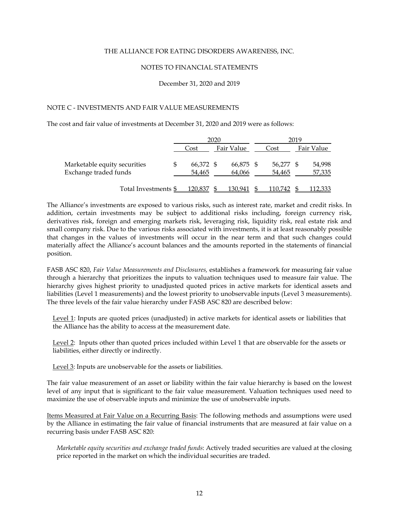#### NOTES TO FINANCIAL STATEMENTS

December 31, 2020 and 2019

## NOTE C - INVESTMENTS AND FAIR VALUE MEASUREMENTS

The cost and fair value of investments at December 31, 2020 and 2019 were as follows:

|                              | 2020      |  |            |  |           | 2019 |            |
|------------------------------|-----------|--|------------|--|-----------|------|------------|
|                              | Cost      |  | Fair Value |  | Cost      |      | Fair Value |
| Marketable equity securities | 66,372 \$ |  | 66,875 \$  |  | 56.277 \$ |      | 54,998     |
| Exchange traded funds        | 54,465    |  | 64,066     |  | 54,465    |      | 57,335     |
| Total Investments \$         | 120.837   |  | 130,941    |  | 110.742   |      | 112,333    |

The Alliance's investments are exposed to various risks, such as interest rate, market and credit risks. In addition, certain investments may be subject to additional risks including, foreign currency risk, derivatives risk, foreign and emerging markets risk, leveraging risk, liquidity risk, real estate risk and small company risk. Due to the various risks associated with investments, it is at least reasonably possible that changes in the values of investments will occur in the near term and that such changes could materially affect the Alliance's account balances and the amounts reported in the statements of financial position.

FASB ASC 820, *Fair Value Measurements and Disclosures,* establishes a framework for measuring fair value through a hierarchy that prioritizes the inputs to valuation techniques used to measure fair value. The hierarchy gives highest priority to unadjusted quoted prices in active markets for identical assets and liabilities (Level 1 measurements) and the lowest priority to unobservable inputs (Level 3 measurements). The three levels of the fair value hierarchy under FASB ASC 820 are described below:

Level 1: Inputs are quoted prices (unadjusted) in active markets for identical assets or liabilities that the Alliance has the ability to access at the measurement date.

Level 2: Inputs other than quoted prices included within Level 1 that are observable for the assets or liabilities, either directly or indirectly.

Level 3: Inputs are unobservable for the assets or liabilities.

The fair value measurement of an asset or liability within the fair value hierarchy is based on the lowest level of any input that is significant to the fair value measurement. Valuation techniques used need to maximize the use of observable inputs and minimize the use of unobservable inputs.

Items Measured at Fair Value on a Recurring Basis: The following methods and assumptions were used by the Alliance in estimating the fair value of financial instruments that are measured at fair value on a recurring basis under FASB ASC 820:

*Marketable equity securities and exchange traded funds*: Actively traded securities are valued at the closing price reported in the market on which the individual securities are traded.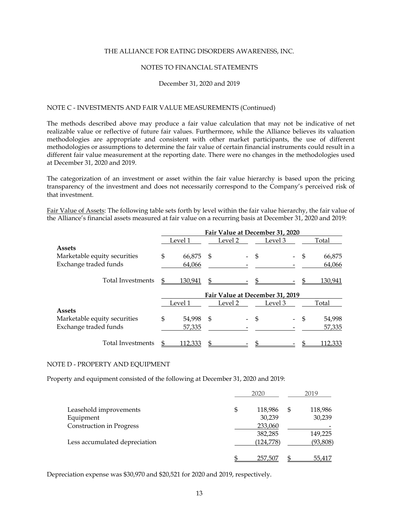#### NOTES TO FINANCIAL STATEMENTS

#### December 31, 2020 and 2019

# NOTE C - INVESTMENTS AND FAIR VALUE MEASUREMENTS (Continued)

The methods described above may produce a fair value calculation that may not be indicative of net realizable value or reflective of future fair values. Furthermore, while the Alliance believes its valuation methodologies are appropriate and consistent with other market participants, the use of different methodologies or assumptions to determine the fair value of certain financial instruments could result in a different fair value measurement at the reporting date. There were no changes in the methodologies used at December 31, 2020 and 2019.

The categorization of an investment or asset within the fair value hierarchy is based upon the pricing transparency of the investment and does not necessarily correspond to the Company's perceived risk of that investment.

Fair Value of Assets: The following table sets forth by level within the fair value hierarchy, the fair value of the Alliance's financial assets measured at fair value on a recurring basis at December 31, 2020 and 2019:

|                              | Fair Value at December 31, 2020 |                    |      |         |    |                                 |    |         |       |  |
|------------------------------|---------------------------------|--------------------|------|---------|----|---------------------------------|----|---------|-------|--|
|                              |                                 | Level 2<br>Level 1 |      | Level 3 |    |                                 |    |         | Total |  |
| <b>Assets</b>                |                                 |                    |      |         |    |                                 |    |         |       |  |
| Marketable equity securities | \$                              | 66,875             | - \$ |         | \$ |                                 | \$ | 66,875  |       |  |
| Exchange traded funds        |                                 | 64,066             |      |         |    |                                 |    | 64,066  |       |  |
| <b>Total Investments</b>     | S                               | 130,941            | \$   |         | £. |                                 |    | 130,941 |       |  |
|                              |                                 |                    |      |         |    | Fair Value at December 31, 2019 |    |         |       |  |
|                              |                                 | Level 1            |      | Level 2 |    | Level 3                         |    | Total   |       |  |
| <b>Assets</b>                |                                 |                    |      |         |    |                                 |    |         |       |  |
| Marketable equity securities | \$                              | 54,998             | \$   |         | \$ |                                 | S  | 54,998  |       |  |
| Exchange traded funds        |                                 | 57,335             |      |         |    |                                 |    | 57,335  |       |  |
| Total Investments            | \$                              | 112,333            | \$   |         |    |                                 |    | 112,333 |       |  |

#### NOTE D - PROPERTY AND EQUIPMENT

Property and equipment consisted of the following at December 31, 2020 and 2019:

|                               | 2020          | 2019 |           |  |
|-------------------------------|---------------|------|-----------|--|
| Leasehold improvements        | \$<br>118,986 | \$   | 118,986   |  |
| Equipment                     | 30,239        |      | 30,239    |  |
| Construction in Progress      | 233,060       |      |           |  |
|                               | 382,285       |      | 149,225   |  |
| Less accumulated depreciation | (124, 778)    |      | (93, 808) |  |
|                               | 257,507       |      | 55,417    |  |

Depreciation expense was \$30,970 and \$20,521 for 2020 and 2019, respectively.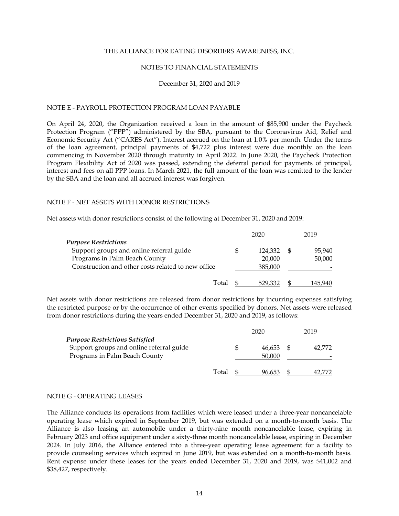#### NOTES TO FINANCIAL STATEMENTS

#### December 31, 2020 and 2019

#### NOTE E - PAYROLL PROTECTION PROGRAM LOAN PAYABLE

On April 24, 2020, the Organization received a loan in the amount of \$85,900 under the Paycheck Protection Program ("PPP") administered by the SBA, pursuant to the Coronavirus Aid, Relief and Economic Security Act ("CARES Act"). Interest accrued on the loan at 1.0% per month. Under the terms of the loan agreement, principal payments of \$4,722 plus interest were due monthly on the loan commencing in November 2020 through maturity in April 2022. In June 2020, the Paycheck Protection Program Flexibility Act of 2020 was passed, extending the deferral period for payments of principal, interest and fees on all PPP loans. In March 2021, the full amount of the loan was remitted to the lender by the SBA and the loan and all accrued interest was forgiven.

#### NOTE F - NET ASSETS WITH DONOR RESTRICTIONS

Net assets with donor restrictions consist of the following at December 31, 2020 and 2019:

|                                                    | 2020    | 2019    |
|----------------------------------------------------|---------|---------|
| <b>Purpose Restrictions</b>                        |         |         |
| Support groups and online referral guide           | 124,332 | 95,940  |
| Programs in Palm Beach County                      | 20,000  | 50,000  |
| Construction and other costs related to new office | 385,000 |         |
| Total                                              | 529,332 | 145.940 |

Net assets with donor restrictions are released from donor restrictions by incurring expenses satisfying the restricted purpose or by the occurrence of other events specified by donors. Net assets were released from donor restrictions during the years ended December 31, 2020 and 2019, as follows:

|                                                                           |       | 2020 |                  | 2019 |        |
|---------------------------------------------------------------------------|-------|------|------------------|------|--------|
| Purpose Restrictions Satisfied                                            |       |      |                  |      |        |
| Support groups and online referral guide<br>Programs in Palm Beach County |       |      | 46.653<br>50,000 |      | 42.772 |
|                                                                           | Total |      | 96.653           |      |        |

#### NOTE G - OPERATING LEASES

The Alliance conducts its operations from facilities which were leased under a three-year noncancelable operating lease which expired in September 2019, but was extended on a month-to-month basis. The Alliance is also leasing an automobile under a thirty-nine month noncancelable lease, expiring in February 2023 and office equipment under a sixty-three month noncancelable lease, expiring in December 2024. In July 2016, the Alliance entered into a three-year operating lease agreement for a facility to provide counseling services which expired in June 2019, but was extended on a month-to-month basis. Rent expense under these leases for the years ended December 31, 2020 and 2019, was \$41,002 and \$38,427, respectively.